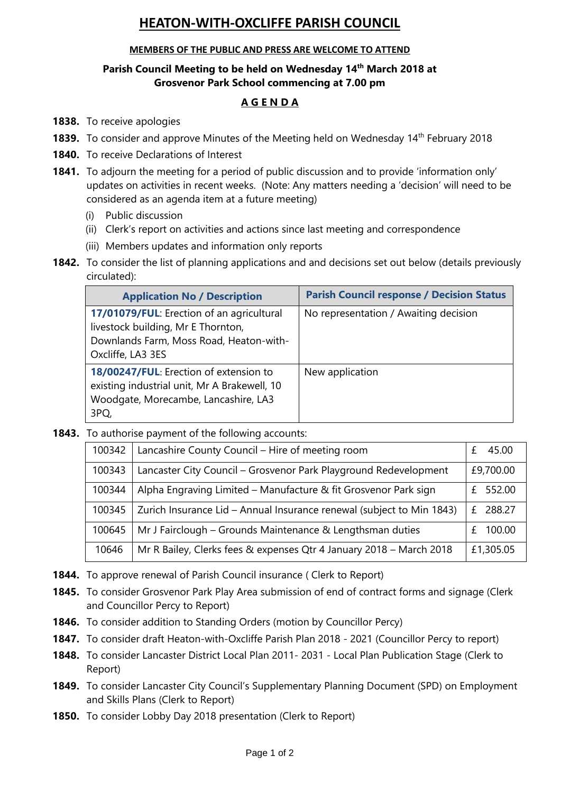# **HEATON-WITH-OXCLIFFE PARISH COUNCIL**

### **MEMBERS OF THE PUBLIC AND PRESS ARE WELCOME TO ATTEND**

## **Parish Council Meeting to be held on Wednesday 14 th March 2018 at Grosvenor Park School commencing at 7.00 pm**

## **A G E N D A**

- **1838.** To receive apologies
- 1839. To consider and approve Minutes of the Meeting held on Wednesday 14<sup>th</sup> February 2018
- **1840.** To receive Declarations of Interest
- **1841.** To adjourn the meeting for a period of public discussion and to provide 'information only' updates on activities in recent weeks. (Note: Any matters needing a 'decision' will need to be considered as an agenda item at a future meeting)
	- (i) Public discussion
	- (ii) Clerk's report on activities and actions since last meeting and correspondence
	- (iii) Members updates and information only reports
- 1842. To consider the list of planning applications and and decisions set out below (details previously circulated):

| <b>Application No / Description</b>                                                                                                             | <b>Parish Council response / Decision Status</b> |
|-------------------------------------------------------------------------------------------------------------------------------------------------|--------------------------------------------------|
| 17/01079/FUL: Erection of an agricultural<br>livestock building, Mr E Thornton,<br>Downlands Farm, Moss Road, Heaton-with-<br>Oxcliffe, LA3 3ES | No representation / Awaiting decision            |
| 18/00247/FUL: Erection of extension to<br>existing industrial unit, Mr A Brakewell, 10<br>Woodgate, Morecambe, Lancashire, LA3<br>3PQ,          | New application                                  |

**1843.** To authorise payment of the following accounts:

| 100342 | Lancashire County Council - Hire of meeting room                      | 45.00        |
|--------|-----------------------------------------------------------------------|--------------|
| 100343 | Lancaster City Council - Grosvenor Park Playground Redevelopment      | £9,700.00    |
| 100344 | Alpha Engraving Limited - Manufacture & fit Grosvenor Park sign       | 552.00       |
| 100345 | Zurich Insurance Lid - Annual Insurance renewal (subject to Min 1843) | 288.27<br>£. |
| 100645 | Mr J Fairclough – Grounds Maintenance & Lengthsman duties             | 100.00       |
| 10646  | Mr R Bailey, Clerks fees & expenses Qtr 4 January 2018 - March 2018   | £1,305.05    |

- **1844.** To approve renewal of Parish Council insurance ( Clerk to Report)
- **1845.** To consider Grosvenor Park Play Area submission of end of contract forms and signage (Clerk and Councillor Percy to Report)
- **1846.** To consider addition to Standing Orders (motion by Councillor Percy)
- **1847.** To consider draft Heaton-with-Oxcliffe Parish Plan 2018 2021 (Councillor Percy to report)
- **1848.** To consider Lancaster District Local Plan 2011- 2031 Local Plan Publication Stage (Clerk to Report)
- **1849.** To consider Lancaster City Council's Supplementary Planning Document (SPD) on Employment and Skills Plans (Clerk to Report)
- **1850.** To consider Lobby Day 2018 presentation (Clerk to Report)